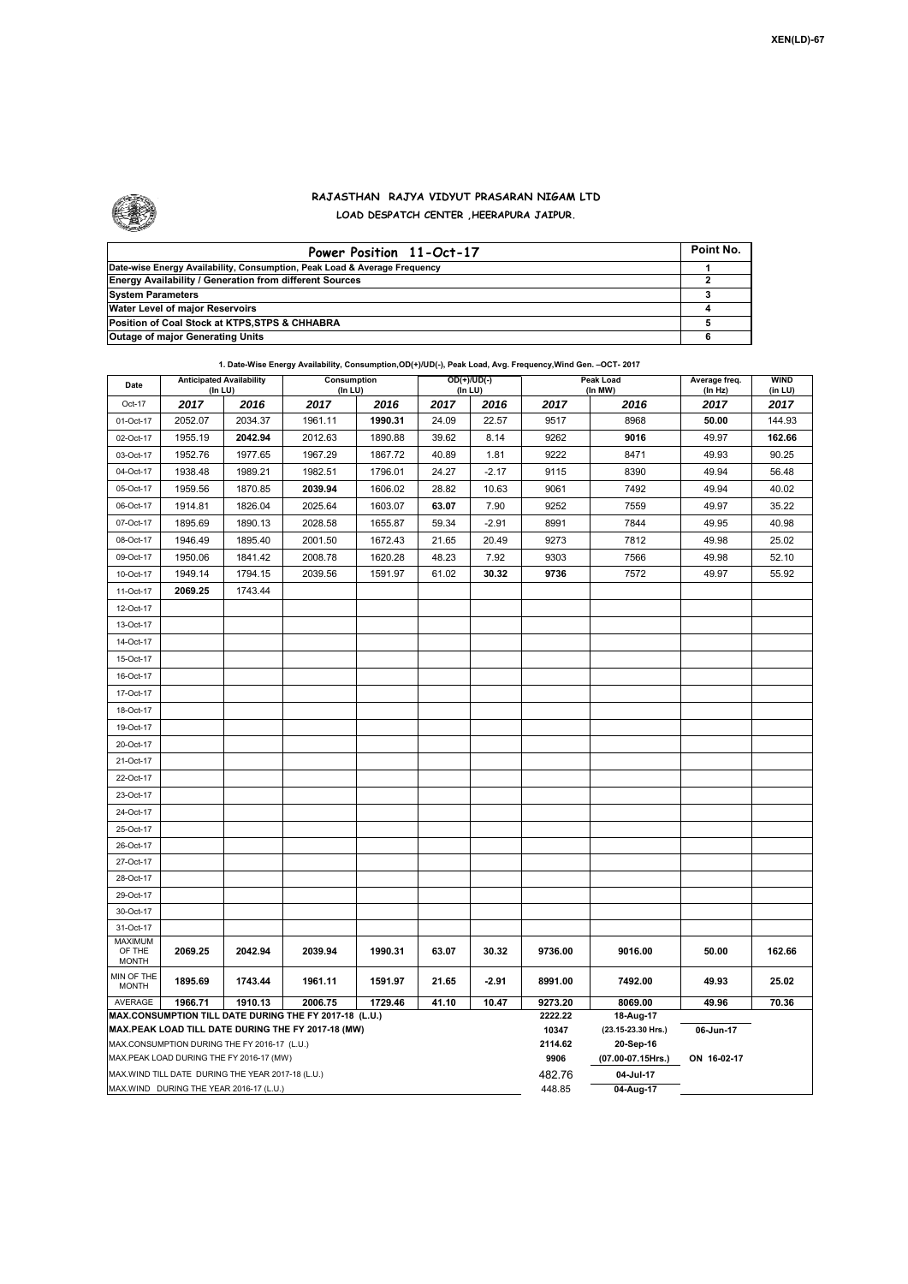

Г

## **RAJASTHAN RAJYA VIDYUT PRASARAN NIGAM LTD LOAD DESPATCH CENTER ,HEERAPURA JAIPUR.**

| Power Position 11-Oct-17                                                  | Point No. |
|---------------------------------------------------------------------------|-----------|
| Date-wise Energy Availability, Consumption, Peak Load & Average Frequency |           |
| <b>Energy Availability / Generation from different Sources</b>            |           |
| <b>System Parameters</b>                                                  |           |
| Water Level of major Reservoirs                                           |           |
| Position of Coal Stock at KTPS, STPS & CHHABRA                            |           |
| <b>Outage of major Generating Units</b>                                   |           |

**1. Date-Wise Energy Availability, Consumption,OD(+)/UD(-), Peak Load, Avg. Frequency,Wind Gen. –OCT- 2017 Date Anticipated Availability Consumption** Consumption **COD(+)/UD(-)** Peak Load

| Date                                                                                                         | <b>Anticipated Availability</b><br>(In LU) |         | Consumption<br>(In LU) |         | $OD(+)/UD(-)$<br>(In LU) |         |                  | Peak Load<br>(In MW)            | Average freq.   | <b>WIND</b>     |  |  |
|--------------------------------------------------------------------------------------------------------------|--------------------------------------------|---------|------------------------|---------|--------------------------|---------|------------------|---------------------------------|-----------------|-----------------|--|--|
| Oct-17                                                                                                       | 2017                                       | 2016    | 2017                   | 2016    | 2017                     | 2016    | 2017             | 2016                            | (ln Hz)<br>2017 | (in LU)<br>2017 |  |  |
| 01-Oct-17                                                                                                    | 2052.07                                    | 2034.37 | 1961.11                | 1990.31 | 24.09                    | 22.57   | 9517             | 8968                            | 50.00           | 144.93          |  |  |
| 02-Oct-17                                                                                                    | 1955.19                                    | 2042.94 | 2012.63                | 1890.88 | 39.62                    | 8.14    | 9262             | 9016                            | 49.97           | 162.66          |  |  |
| 03-Oct-17                                                                                                    | 1952.76                                    | 1977.65 | 1967.29                | 1867.72 | 40.89                    | 1.81    | 9222             | 8471                            | 49.93           | 90.25           |  |  |
| 04-Oct-17                                                                                                    | 1938.48                                    | 1989.21 | 1982.51                | 1796.01 | 24.27                    | $-2.17$ | 9115             | 8390                            | 49.94           | 56.48           |  |  |
| 05-Oct-17                                                                                                    | 1959.56                                    | 1870.85 | 2039.94                | 1606.02 | 28.82                    | 10.63   | 9061             | 7492                            | 49.94           | 40.02           |  |  |
| 06-Oct-17                                                                                                    | 1914.81                                    | 1826.04 | 2025.64                | 1603.07 | 63.07                    | 7.90    | 9252             | 7559                            | 49.97           | 35.22           |  |  |
| 07-Oct-17                                                                                                    | 1895.69                                    | 1890.13 | 2028.58                | 1655.87 | 59.34                    | $-2.91$ | 8991             | 7844                            | 49.95           | 40.98           |  |  |
| 08-Oct-17                                                                                                    | 1946.49                                    | 1895.40 | 2001.50                | 1672.43 | 21.65                    | 20.49   | 9273             | 7812                            | 49.98           | 25.02           |  |  |
| 09-Oct-17                                                                                                    | 1950.06                                    | 1841.42 | 2008.78                | 1620.28 | 48.23                    | 7.92    | 9303             | 7566                            | 49.98           | 52.10           |  |  |
| 10-Oct-17                                                                                                    | 1949.14                                    | 1794.15 | 2039.56                | 1591.97 | 61.02                    | 30.32   | 9736             | 7572                            | 49.97           | 55.92           |  |  |
| 11-Oct-17                                                                                                    | 2069.25                                    | 1743.44 |                        |         |                          |         |                  |                                 |                 |                 |  |  |
| 12-Oct-17                                                                                                    |                                            |         |                        |         |                          |         |                  |                                 |                 |                 |  |  |
| 13-Oct-17                                                                                                    |                                            |         |                        |         |                          |         |                  |                                 |                 |                 |  |  |
| 14-Oct-17                                                                                                    |                                            |         |                        |         |                          |         |                  |                                 |                 |                 |  |  |
| 15-Oct-17                                                                                                    |                                            |         |                        |         |                          |         |                  |                                 |                 |                 |  |  |
| 16-Oct-17                                                                                                    |                                            |         |                        |         |                          |         |                  |                                 |                 |                 |  |  |
| 17-Oct-17                                                                                                    |                                            |         |                        |         |                          |         |                  |                                 |                 |                 |  |  |
| 18-Oct-17                                                                                                    |                                            |         |                        |         |                          |         |                  |                                 |                 |                 |  |  |
| 19-Oct-17                                                                                                    |                                            |         |                        |         |                          |         |                  |                                 |                 |                 |  |  |
| 20-Oct-17                                                                                                    |                                            |         |                        |         |                          |         |                  |                                 |                 |                 |  |  |
| 21-Oct-17                                                                                                    |                                            |         |                        |         |                          |         |                  |                                 |                 |                 |  |  |
| 22-Oct-17                                                                                                    |                                            |         |                        |         |                          |         |                  |                                 |                 |                 |  |  |
| 23-Oct-17                                                                                                    |                                            |         |                        |         |                          |         |                  |                                 |                 |                 |  |  |
| 24-Oct-17                                                                                                    |                                            |         |                        |         |                          |         |                  |                                 |                 |                 |  |  |
| 25-Oct-17                                                                                                    |                                            |         |                        |         |                          |         |                  |                                 |                 |                 |  |  |
| 26-Oct-17                                                                                                    |                                            |         |                        |         |                          |         |                  |                                 |                 |                 |  |  |
| 27-Oct-17                                                                                                    |                                            |         |                        |         |                          |         |                  |                                 |                 |                 |  |  |
| 28-Oct-17                                                                                                    |                                            |         |                        |         |                          |         |                  |                                 |                 |                 |  |  |
| 29-Oct-17                                                                                                    |                                            |         |                        |         |                          |         |                  |                                 |                 |                 |  |  |
| 30-Oct-17                                                                                                    |                                            |         |                        |         |                          |         |                  |                                 |                 |                 |  |  |
| 31-Oct-17                                                                                                    |                                            |         |                        |         |                          |         |                  |                                 |                 |                 |  |  |
| <b>MAXIMUM</b><br>OF THE<br><b>MONTH</b>                                                                     | 2069.25                                    | 2042.94 | 2039.94                | 1990.31 | 63.07                    | 30.32   | 9736.00          | 9016.00                         | 50.00           | 162.66          |  |  |
| MIN OF THE<br><b>MONTH</b>                                                                                   | 1895.69                                    | 1743.44 | 1961.11                | 1591.97 | 21.65                    | $-2.91$ | 8991.00          | 7492.00                         | 49.93           | 25.02           |  |  |
| AVERAGE<br>1910.13<br>2006.75<br>41.10<br>10.47<br>1966.71<br>1729.46                                        |                                            |         |                        |         |                          |         | 9273.20          | 8069.00                         | 49.96           | 70.36           |  |  |
| MAX.CONSUMPTION TILL DATE DURING THE FY 2017-18 (L.U.)<br>MAX.PEAK LOAD TILL DATE DURING THE FY 2017-18 (MW) |                                            |         |                        |         |                          |         | 2222.22<br>10347 | 18-Aug-17<br>(23.15-23.30 Hrs.) | 06-Jun-17       |                 |  |  |
| MAX.CONSUMPTION DURING THE FY 2016-17 (L.U.)                                                                 |                                            |         |                        |         |                          |         | 2114.62          | 20-Sep-16                       |                 |                 |  |  |
| MAX.PEAK LOAD DURING THE FY 2016-17 (MW)                                                                     |                                            |         |                        |         |                          |         | 9906             | (07.00-07.15Hrs.)               | ON 16-02-17     |                 |  |  |
| MAX. WIND TILL DATE DURING THE YEAR 2017-18 (L.U.)                                                           |                                            |         |                        |         |                          |         | 482.76           | 04-Jul-17                       |                 |                 |  |  |
| MAX.WIND DURING THE YEAR 2016-17 (L.U.)                                                                      |                                            |         |                        |         |                          |         |                  | 04-Aug-17                       |                 |                 |  |  |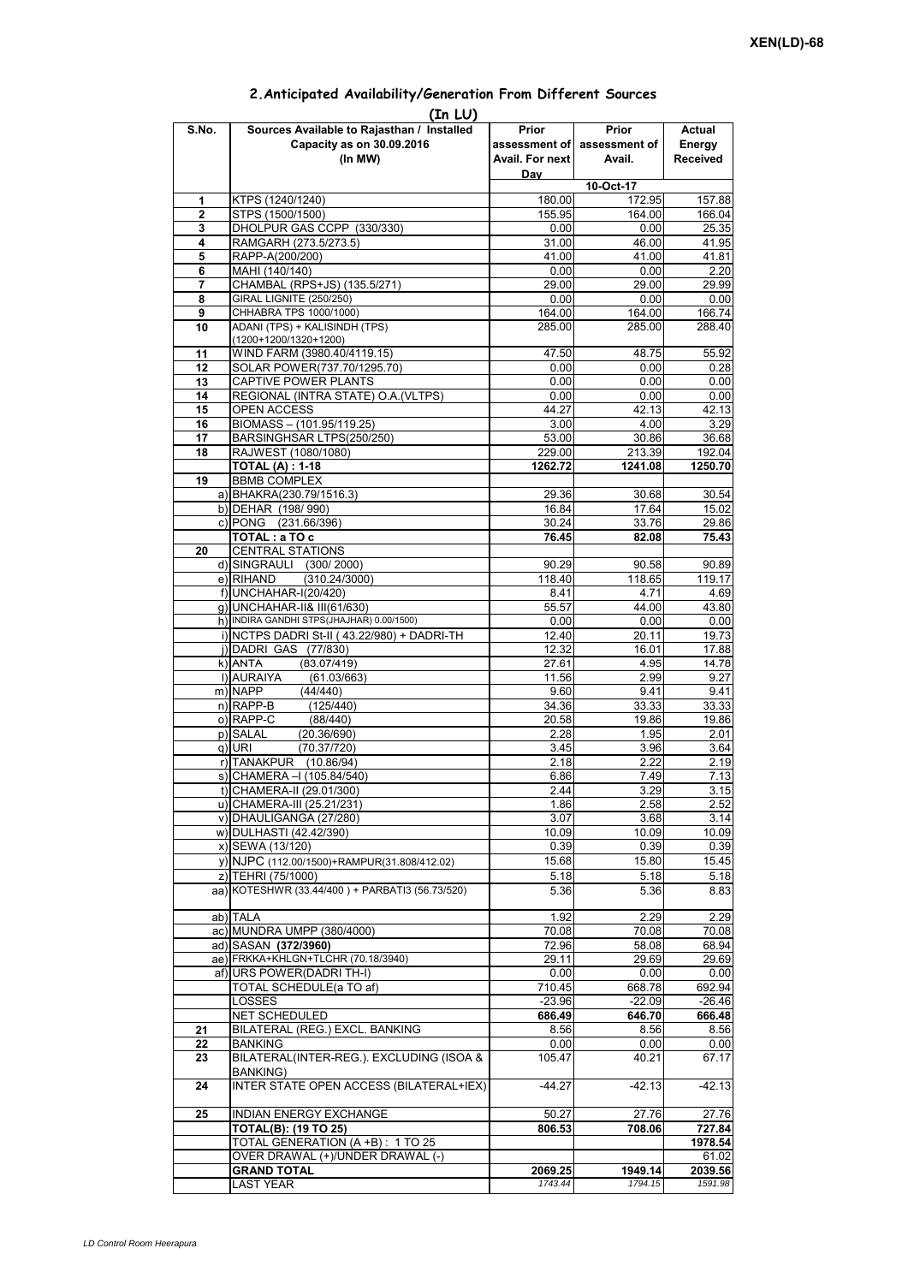| (In LU)      |                                                           |                 |                             |                  |  |  |  |  |  |
|--------------|-----------------------------------------------------------|-----------------|-----------------------------|------------------|--|--|--|--|--|
| S.No.        | Sources Available to Rajasthan / Installed                | Prior           | Prior                       | Actual           |  |  |  |  |  |
|              | Capacity as on 30.09.2016                                 |                 | assessment of assessment of | Energy           |  |  |  |  |  |
|              | (In MW)                                                   | Avail. For next | Avail.                      | Received         |  |  |  |  |  |
|              |                                                           | Dav             |                             |                  |  |  |  |  |  |
|              |                                                           |                 | 10-Oct-17                   |                  |  |  |  |  |  |
| 1            | KTPS (1240/1240)                                          | 180.00          | 172.95                      | 157.88           |  |  |  |  |  |
| $\mathbf{2}$ | STPS (1500/1500)                                          | 155.95          | 164.00                      | 166.04           |  |  |  |  |  |
| 3            | DHOLPUR GAS CCPP (330/330)                                | 0.00            | 0.00                        | 25.35            |  |  |  |  |  |
| 4            | RAMGARH (273.5/273.5)                                     | 31.00           | 46.00                       | 41.95            |  |  |  |  |  |
| 5            | RAPP-A(200/200)                                           | 41.00           | 41.00                       | 41.81            |  |  |  |  |  |
| 6            | MAHI (140/140)                                            | 0.00            | 0.00                        | 2.20             |  |  |  |  |  |
| 7            | CHAMBAL (RPS+JS) (135.5/271)                              | 29.00           | 29.00                       | 29.99            |  |  |  |  |  |
| 8            | <b>GIRAL LIGNITE (250/250)</b>                            | 0.00            | 0.00                        | 0.00             |  |  |  |  |  |
| 9            | CHHABRA TPS 1000/1000)                                    | 164.00          | 164.00                      | 166.74           |  |  |  |  |  |
| 10           | ADANI (TPS) + KALISINDH (TPS)                             | 285.00          | 285.00                      | 288.40           |  |  |  |  |  |
|              | (1200+1200/1320+1200)                                     |                 |                             |                  |  |  |  |  |  |
| 11           | WIND FARM (3980.40/4119.15)                               | 47.50           | 48.75                       | 55.92            |  |  |  |  |  |
| 12           | SOLAR POWER(737.70/1295.70)                               | 0.00            | 0.00                        | 0.28             |  |  |  |  |  |
| 13           | <b>CAPTIVE POWER PLANTS</b>                               | 0.00            | 0.00                        | 0.00             |  |  |  |  |  |
| 14           | REGIONAL (INTRA STATE) O.A. (VLTPS)<br><b>OPEN ACCESS</b> | 0.00<br>44.27   | 0.00<br>42.13               | 0.00<br>42.13    |  |  |  |  |  |
| 15<br>16     |                                                           |                 |                             |                  |  |  |  |  |  |
| 17           | BIOMASS - (101.95/119.25)<br>BARSINGHSAR LTPS(250/250)    | 3.00<br>53.00   | 4.00<br>30.86               | 3.29<br>36.68    |  |  |  |  |  |
| 18           | RAJWEST (1080/1080)                                       | 229.00          | 213.39                      | 192.04           |  |  |  |  |  |
|              | TOTAL (A) : 1-18                                          | 1262.72         | 1241.08                     | 1250.70          |  |  |  |  |  |
| 19           | <b>BBMB COMPLEX</b>                                       |                 |                             |                  |  |  |  |  |  |
|              | a) BHAKRA(230.79/1516.3)                                  | 29.36           | 30.68                       | 30.54            |  |  |  |  |  |
|              | b) DEHAR (198/990)                                        | 16.84           | 17.64                       | 15.02            |  |  |  |  |  |
|              | c) PONG (231.66/396)                                      | 30.24           | 33.76                       | 29.86            |  |  |  |  |  |
|              | TOTAL: a TO c                                             | 76.45           | 82.08                       | 75.43            |  |  |  |  |  |
| 20           | <b>CENTRAL STATIONS</b>                                   |                 |                             |                  |  |  |  |  |  |
|              | d) SINGRAULI (300/2000)                                   | 90.29           | 90.58                       | 90.89            |  |  |  |  |  |
|              | (310.24/3000)<br>e) RIHAND                                | 118.40          | 118.65                      | 119.17           |  |  |  |  |  |
|              | f) UNCHAHAR-I(20/420)                                     | 8.41            | 4.71                        | 4.69             |  |  |  |  |  |
|              | g) UNCHAHAR-II& III(61/630)                               | 55.57           | 44.00                       | 43.80            |  |  |  |  |  |
|              | h) INDIRA GANDHI STPS(JHAJHAR) 0.00/1500)                 | 0.00            | 0.00                        | 0.00             |  |  |  |  |  |
|              | i) NCTPS DADRI St-II (43.22/980) + DADRI-TH               | 12.40           | 20.11                       | 19.73            |  |  |  |  |  |
|              | j) DADRI GAS (77/830)                                     | 12.32           | 16.01                       | 17.88            |  |  |  |  |  |
|              | k) ANTA<br>(83.07/419)                                    | 27.61           | 4.95                        | 14.78            |  |  |  |  |  |
|              | I) AURAIYA<br>(61.03/663)                                 | 11.56           | 2.99                        | 9.27             |  |  |  |  |  |
|              | m) NAPP<br>(44/440)                                       | 9.60            | 9.41                        | 9.41             |  |  |  |  |  |
|              | $n)$ RAPP-B<br>(125/440)                                  | 34.36           | 33.33                       | 33.33            |  |  |  |  |  |
|              | o) RAPP-C<br>(88/440)                                     | 20.58           | 19.86                       | 19.86            |  |  |  |  |  |
|              | p) SALAL<br>(20.36/690)                                   | 2.28            | 1.95                        | 2.01             |  |  |  |  |  |
|              | $q)$ URI<br>(70.37/720)                                   | 3.45            | 3.96                        | 3.64             |  |  |  |  |  |
|              | r) TANAKPUR (10.86/94)                                    | 2.18            | 2.22                        | 2.19             |  |  |  |  |  |
|              | s) CHAMERA - (105.84/540)                                 | 6.86            | 7.49                        | 7.13             |  |  |  |  |  |
|              | t) CHAMERA-II (29.01/300)                                 | 2.44            | 3.29                        | 3.15             |  |  |  |  |  |
|              | u) CHAMERA-III (25.21/231)                                | 1.86            | 2.58                        | 2.52             |  |  |  |  |  |
|              | v) DHAULIGANGA (27/280)                                   | 3.07            | 3.68                        | 3.14             |  |  |  |  |  |
|              | w) DULHASTI (42.42/390)                                   | 10.09           | 10.09                       | 10.09            |  |  |  |  |  |
|              | x) SEWA (13/120)                                          | 0.39            | 0.39                        | 0.39             |  |  |  |  |  |
|              | y) NJPC (112.00/1500) + RAMPUR(31.808/412.02)             | 15.68           | 15.80                       | 15.45            |  |  |  |  |  |
|              | z) TEHRI (75/1000)                                        | 5.18            | 5.18                        | 5.18             |  |  |  |  |  |
|              | aa) KOTESHWR (33.44/400) + PARBATI3 (56.73/520)           | 5.36            | 5.36                        | 8.83             |  |  |  |  |  |
|              |                                                           |                 |                             |                  |  |  |  |  |  |
|              | ab) TALA                                                  | 1.92            | 2.29                        | 2.29             |  |  |  |  |  |
|              | ac) MUNDRA UMPP (380/4000)                                | 70.08           | 70.08                       | 70.08            |  |  |  |  |  |
|              | ad) SASAN (372/3960)                                      | 72.96           | 58.08                       | 68.94            |  |  |  |  |  |
|              | ae) FRKKA+KHLGN+TLCHR (70.18/3940)                        | 29.11           | 29.69                       | 29.69            |  |  |  |  |  |
|              | af) URS POWER(DADRI TH-I)                                 | 0.00            | 0.00                        | 0.00             |  |  |  |  |  |
|              | TOTAL SCHEDULE(a TO af)                                   | 710.45          | 668.78                      | 692.94           |  |  |  |  |  |
|              | LOSSES                                                    | $-23.96$        | $-22.09$                    | $-26.46$         |  |  |  |  |  |
|              | <b>NET SCHEDULED</b>                                      | 686.49          | 646.70                      | 666.48           |  |  |  |  |  |
| 21           | BILATERAL (REG.) EXCL. BANKING                            | 8.56            | 8.56                        | 8.56             |  |  |  |  |  |
| 22           | <b>BANKING</b>                                            | 0.00            | 0.00                        | 0.00             |  |  |  |  |  |
| 23           | BILATERAL(INTER-REG.). EXCLUDING (ISOA &                  | 105.47          | 40.21                       | 67.17            |  |  |  |  |  |
| 24           | BANKING)<br>INTER STATE OPEN ACCESS (BILATERAL+IEX)       | $-44.27$        | $-42.13$                    | $-42.13$         |  |  |  |  |  |
|              |                                                           |                 |                             |                  |  |  |  |  |  |
| 25           | <b>INDIAN ENERGY EXCHANGE</b>                             | 50.27           | 27.76                       | 27.76            |  |  |  |  |  |
|              | <b>TOTAL(B): (19 TO 25)</b>                               | 806.53          | 708.06                      | 727.84           |  |  |  |  |  |
|              | TOTAL GENERATION (A +B): 1 TO 25                          |                 |                             | 1978.54          |  |  |  |  |  |
|              | OVER DRAWAL (+)/UNDER DRAWAL (-)<br><b>GRAND TOTAL</b>    | 2069.25         | 1949.14                     | 61.02<br>2039.56 |  |  |  |  |  |
|              | LAST YEAR                                                 | 1743.44         | 1794.15                     | 1591.98          |  |  |  |  |  |
|              |                                                           |                 |                             |                  |  |  |  |  |  |

## **2.Anticipated Availability/Generation From Different Sources**